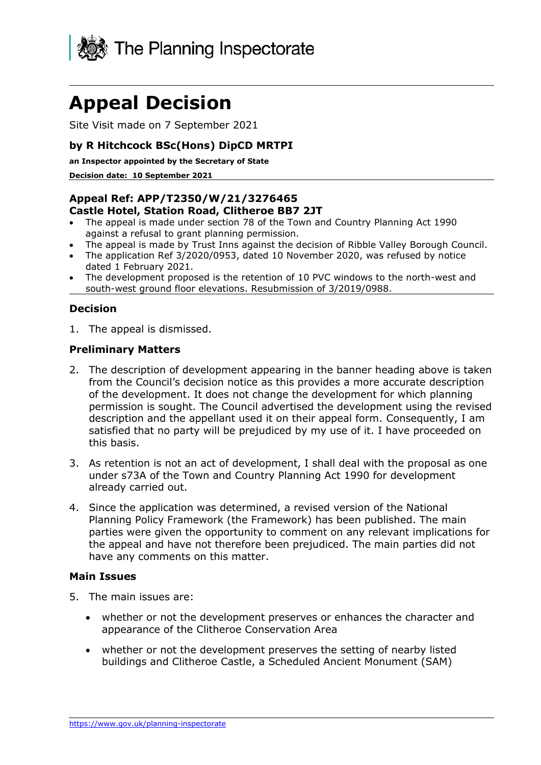

# **Appeal Decision**

Site Visit made on 7 September 2021

#### **by R Hitchcock BSc(Hons) DipCD MRTPI**

**an Inspector appointed by the Secretary of State** 

**Decision date: 10 September 2021**

#### **Appeal Ref: APP/T2350/W/21/3276465 Castle Hotel, Station Road, Clitheroe BB7 2JT**

- The appeal is made under section 78 of the Town and Country Planning Act 1990 against a refusal to grant planning permission.
- The appeal is made by Trust Inns against the decision of Ribble Valley Borough Council.
- The application Ref 3/2020/0953, dated 10 November 2020, was refused by notice dated 1 February 2021.
- The development proposed is the retention of 10 PVC windows to the north-west and south-west ground floor elevations. Resubmission of 3/2019/0988.

# **Decision**

1. The appeal is dismissed.

#### **Preliminary Matters**

- 2. The description of development appearing in the banner heading above is taken from the Council's decision notice as this provides a more accurate description of the development. It does not change the development for which planning permission is sought. The Council advertised the development using the revised description and the appellant used it on their appeal form. Consequently, I am satisfied that no party will be prejudiced by my use of it. I have proceeded on this basis.
- 3. As retention is not an act of development, I shall deal with the proposal as one under s73A of the Town and Country Planning Act 1990 for development already carried out.
- 4. Since the application was determined, a revised version of the National Planning Policy Framework (the Framework) has been published. The main parties were given the opportunity to comment on any relevant implications for the appeal and have not therefore been prejudiced. The main parties did not have any comments on this matter.

#### **Main Issues**

- 5. The main issues are:
	- whether or not the development preserves or enhances the character and appearance of the Clitheroe Conservation Area
	- whether or not the development preserves the setting of nearby listed buildings and Clitheroe Castle, a Scheduled Ancient Monument (SAM)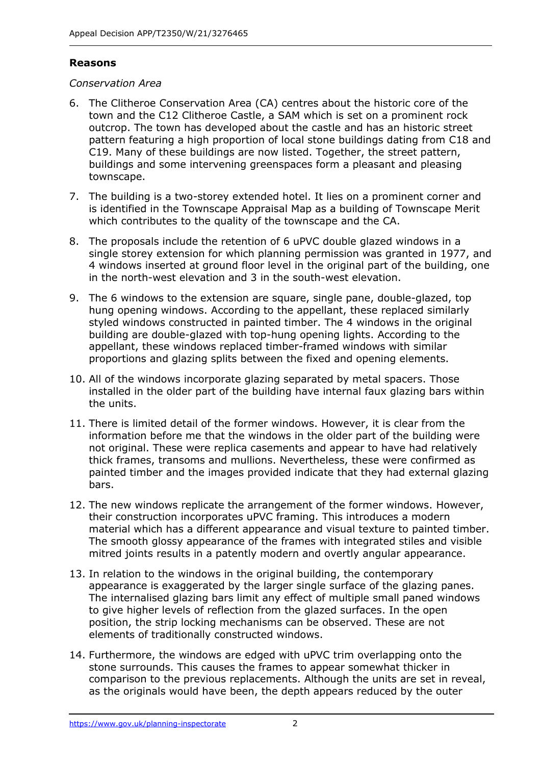#### **Reasons**

#### *Conservation Area*

- 6. The Clitheroe Conservation Area (CA) centres about the historic core of the town and the C12 Clitheroe Castle, a SAM which is set on a prominent rock outcrop. The town has developed about the castle and has an historic street pattern featuring a high proportion of local stone buildings dating from C18 and C19. Many of these buildings are now listed. Together, the street pattern, buildings and some intervening greenspaces form a pleasant and pleasing townscape.
- 7. The building is a two-storey extended hotel. It lies on a prominent corner and is identified in the Townscape Appraisal Map as a building of Townscape Merit which contributes to the quality of the townscape and the CA.
- 8. The proposals include the retention of 6 uPVC double glazed windows in a single storey extension for which planning permission was granted in 1977, and 4 windows inserted at ground floor level in the original part of the building, one in the north-west elevation and 3 in the south-west elevation.
- 9. The 6 windows to the extension are square, single pane, double-glazed, top hung opening windows. According to the appellant, these replaced similarly styled windows constructed in painted timber. The 4 windows in the original building are double-glazed with top-hung opening lights. According to the appellant, these windows replaced timber-framed windows with similar proportions and glazing splits between the fixed and opening elements.
- 10. All of the windows incorporate glazing separated by metal spacers. Those installed in the older part of the building have internal faux glazing bars within the units.
- 11. There is limited detail of the former windows. However, it is clear from the information before me that the windows in the older part of the building were not original. These were replica casements and appear to have had relatively thick frames, transoms and mullions. Nevertheless, these were confirmed as painted timber and the images provided indicate that they had external glazing bars.
- 12. The new windows replicate the arrangement of the former windows. However, their construction incorporates uPVC framing. This introduces a modern material which has a different appearance and visual texture to painted timber. The smooth glossy appearance of the frames with integrated stiles and visible mitred joints results in a patently modern and overtly angular appearance.
- 13. In relation to the windows in the original building, the contemporary appearance is exaggerated by the larger single surface of the glazing panes. The internalised glazing bars limit any effect of multiple small paned windows to give higher levels of reflection from the glazed surfaces. In the open position, the strip locking mechanisms can be observed. These are not elements of traditionally constructed windows.
- 14. Furthermore, the windows are edged with uPVC trim overlapping onto the stone surrounds. This causes the frames to appear somewhat thicker in comparison to the previous replacements. Although the units are set in reveal, as the originals would have been, the depth appears reduced by the outer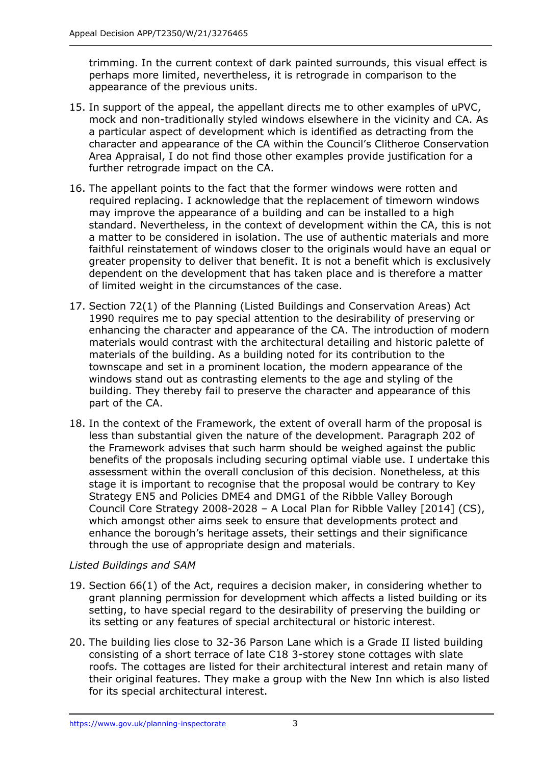trimming. In the current context of dark painted surrounds, this visual effect is perhaps more limited, nevertheless, it is retrograde in comparison to the appearance of the previous units.

- 15. In support of the appeal, the appellant directs me to other examples of uPVC, mock and non-traditionally styled windows elsewhere in the vicinity and CA. As a particular aspect of development which is identified as detracting from the character and appearance of the CA within the Council's Clitheroe Conservation Area Appraisal, I do not find those other examples provide justification for a further retrograde impact on the CA.
- 16. The appellant points to the fact that the former windows were rotten and required replacing. I acknowledge that the replacement of timeworn windows may improve the appearance of a building and can be installed to a high standard. Nevertheless, in the context of development within the CA, this is not a matter to be considered in isolation. The use of authentic materials and more faithful reinstatement of windows closer to the originals would have an equal or greater propensity to deliver that benefit. It is not a benefit which is exclusively dependent on the development that has taken place and is therefore a matter of limited weight in the circumstances of the case.
- 17. Section 72(1) of the Planning (Listed Buildings and Conservation Areas) Act 1990 requires me to pay special attention to the desirability of preserving or enhancing the character and appearance of the CA. The introduction of modern materials would contrast with the architectural detailing and historic palette of materials of the building. As a building noted for its contribution to the townscape and set in a prominent location, the modern appearance of the windows stand out as contrasting elements to the age and styling of the building. They thereby fail to preserve the character and appearance of this part of the CA.
- 18. In the context of the Framework, the extent of overall harm of the proposal is less than substantial given the nature of the development. Paragraph 202 of the Framework advises that such harm should be weighed against the public benefits of the proposals including securing optimal viable use. I undertake this assessment within the overall conclusion of this decision. Nonetheless, at this stage it is important to recognise that the proposal would be contrary to Key Strategy EN5 and Policies DME4 and DMG1 of the Ribble Valley Borough Council Core Strategy 2008-2028 – A Local Plan for Ribble Valley [2014] (CS), which amongst other aims seek to ensure that developments protect and enhance the borough's heritage assets, their settings and their significance through the use of appropriate design and materials.

# *Listed Buildings and SAM*

- 19. Section 66(1) of the Act, requires a decision maker, in considering whether to grant planning permission for development which affects a listed building or its setting, to have special regard to the desirability of preserving the building or its setting or any features of special architectural or historic interest.
- 20. The building lies close to 32-36 Parson Lane which is a Grade II listed building consisting of a short terrace of late C18 3-storey stone cottages with slate roofs. The cottages are listed for their architectural interest and retain many of their original features. They make a group with the New Inn which is also listed for its special architectural interest.